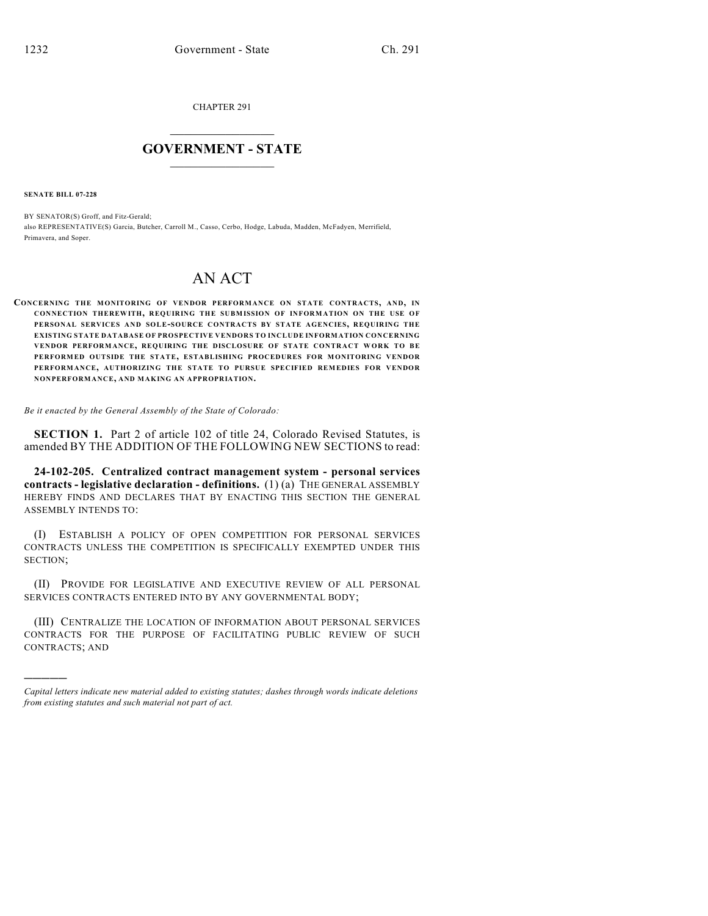CHAPTER 291

## $\mathcal{L}_\text{max}$  . The set of the set of the set of the set of the set of the set of the set of the set of the set of the set of the set of the set of the set of the set of the set of the set of the set of the set of the set **GOVERNMENT - STATE**  $\_$   $\_$   $\_$   $\_$   $\_$   $\_$   $\_$   $\_$   $\_$

**SENATE BILL 07-228**

)))))

BY SENATOR(S) Groff, and Fitz-Gerald; also REPRESENTATIVE(S) Garcia, Butcher, Carroll M., Casso, Cerbo, Hodge, Labuda, Madden, McFadyen, Merrifield, Primavera, and Soper.

## AN ACT

**CONCERNING THE MONITORING OF VENDOR PERFORMANCE ON STATE CONTRACTS, AND, IN CONNECTION THEREWITH, REQUIRING THE SUBMISSION OF INFORMATION ON THE USE OF PERSONAL SERVICES AND SOLE-SOURCE CONTRACTS BY STATE AGENCIES, REQUIRING THE EXISTING STATE DATABASE OF PROSPECTIVE VENDORS TO INCLUDE INFORMATION CONCERNING VENDOR PERFORMANCE, REQUIRING THE DISCLOSURE OF STATE CONTRACT WORK TO BE PERFORMED OUTSIDE THE STATE, ESTABLISHING PROCEDURES FOR MONITORING VENDOR PERFORMANCE, AUTHORIZING THE STATE TO PURSUE SPECIFIED REMEDIES FOR VENDOR NONPERFORMANCE, AND MAKING AN APPROPRIATION.**

*Be it enacted by the General Assembly of the State of Colorado:*

**SECTION 1.** Part 2 of article 102 of title 24, Colorado Revised Statutes, is amended BY THE ADDITION OF THE FOLLOWING NEW SECTIONS to read:

**24-102-205. Centralized contract management system - personal services contracts - legislative declaration - definitions.** (1) (a) THE GENERAL ASSEMBLY HEREBY FINDS AND DECLARES THAT BY ENACTING THIS SECTION THE GENERAL ASSEMBLY INTENDS TO:

(I) ESTABLISH A POLICY OF OPEN COMPETITION FOR PERSONAL SERVICES CONTRACTS UNLESS THE COMPETITION IS SPECIFICALLY EXEMPTED UNDER THIS SECTION;

(II) PROVIDE FOR LEGISLATIVE AND EXECUTIVE REVIEW OF ALL PERSONAL SERVICES CONTRACTS ENTERED INTO BY ANY GOVERNMENTAL BODY;

(III) CENTRALIZE THE LOCATION OF INFORMATION ABOUT PERSONAL SERVICES CONTRACTS FOR THE PURPOSE OF FACILITATING PUBLIC REVIEW OF SUCH CONTRACTS; AND

*Capital letters indicate new material added to existing statutes; dashes through words indicate deletions from existing statutes and such material not part of act.*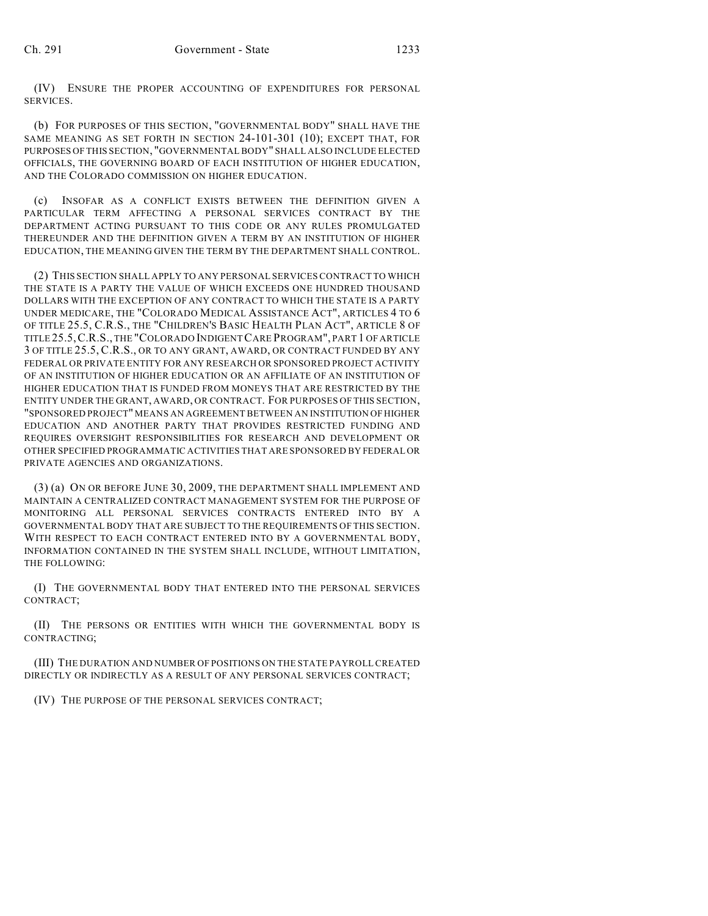(IV) ENSURE THE PROPER ACCOUNTING OF EXPENDITURES FOR PERSONAL SERVICES.

(b) FOR PURPOSES OF THIS SECTION, "GOVERNMENTAL BODY" SHALL HAVE THE SAME MEANING AS SET FORTH IN SECTION 24-101-301 (10); EXCEPT THAT, FOR PURPOSES OF THIS SECTION, "GOVERNMENTAL BODY" SHALL ALSO INCLUDE ELECTED OFFICIALS, THE GOVERNING BOARD OF EACH INSTITUTION OF HIGHER EDUCATION, AND THE COLORADO COMMISSION ON HIGHER EDUCATION.

(c) INSOFAR AS A CONFLICT EXISTS BETWEEN THE DEFINITION GIVEN A PARTICULAR TERM AFFECTING A PERSONAL SERVICES CONTRACT BY THE DEPARTMENT ACTING PURSUANT TO THIS CODE OR ANY RULES PROMULGATED THEREUNDER AND THE DEFINITION GIVEN A TERM BY AN INSTITUTION OF HIGHER EDUCATION, THE MEANING GIVEN THE TERM BY THE DEPARTMENT SHALL CONTROL.

(2) THIS SECTION SHALL APPLY TO ANY PERSONAL SERVICES CONTRACT TO WHICH THE STATE IS A PARTY THE VALUE OF WHICH EXCEEDS ONE HUNDRED THOUSAND DOLLARS WITH THE EXCEPTION OF ANY CONTRACT TO WHICH THE STATE IS A PARTY UNDER MEDICARE, THE "COLORADO MEDICAL ASSISTANCE ACT", ARTICLES 4 TO 6 OF TITLE 25.5, C.R.S., THE "CHILDREN'S BASIC HEALTH PLAN ACT", ARTICLE 8 OF TITLE 25.5,C.R.S., THE "COLORADO INDIGENT CARE PROGRAM", PART 1 OF ARTICLE 3 OF TITLE 25.5, C.R.S., OR TO ANY GRANT, AWARD, OR CONTRACT FUNDED BY ANY FEDERAL OR PRIVATE ENTITY FOR ANY RESEARCH OR SPONSORED PROJECT ACTIVITY OF AN INSTITUTION OF HIGHER EDUCATION OR AN AFFILIATE OF AN INSTITUTION OF HIGHER EDUCATION THAT IS FUNDED FROM MONEYS THAT ARE RESTRICTED BY THE ENTITY UNDER THE GRANT, AWARD, OR CONTRACT. FOR PURPOSES OF THIS SECTION, "SPONSORED PROJECT" MEANS AN AGREEMENT BETWEEN AN INSTITUTION OF HIGHER EDUCATION AND ANOTHER PARTY THAT PROVIDES RESTRICTED FUNDING AND REQUIRES OVERSIGHT RESPONSIBILITIES FOR RESEARCH AND DEVELOPMENT OR OTHER SPECIFIED PROGRAMMATIC ACTIVITIES THAT ARE SPONSORED BY FEDERAL OR PRIVATE AGENCIES AND ORGANIZATIONS.

(3) (a) ON OR BEFORE JUNE 30, 2009, THE DEPARTMENT SHALL IMPLEMENT AND MAINTAIN A CENTRALIZED CONTRACT MANAGEMENT SYSTEM FOR THE PURPOSE OF MONITORING ALL PERSONAL SERVICES CONTRACTS ENTERED INTO BY A GOVERNMENTAL BODY THAT ARE SUBJECT TO THE REQUIREMENTS OF THIS SECTION. WITH RESPECT TO EACH CONTRACT ENTERED INTO BY A GOVERNMENTAL BODY, INFORMATION CONTAINED IN THE SYSTEM SHALL INCLUDE, WITHOUT LIMITATION, THE FOLLOWING:

(I) THE GOVERNMENTAL BODY THAT ENTERED INTO THE PERSONAL SERVICES CONTRACT;

(II) THE PERSONS OR ENTITIES WITH WHICH THE GOVERNMENTAL BODY IS CONTRACTING;

(III) THE DURATION AND NUMBER OF POSITIONS ON THE STATE PAYROLL CREATED DIRECTLY OR INDIRECTLY AS A RESULT OF ANY PERSONAL SERVICES CONTRACT;

(IV) THE PURPOSE OF THE PERSONAL SERVICES CONTRACT;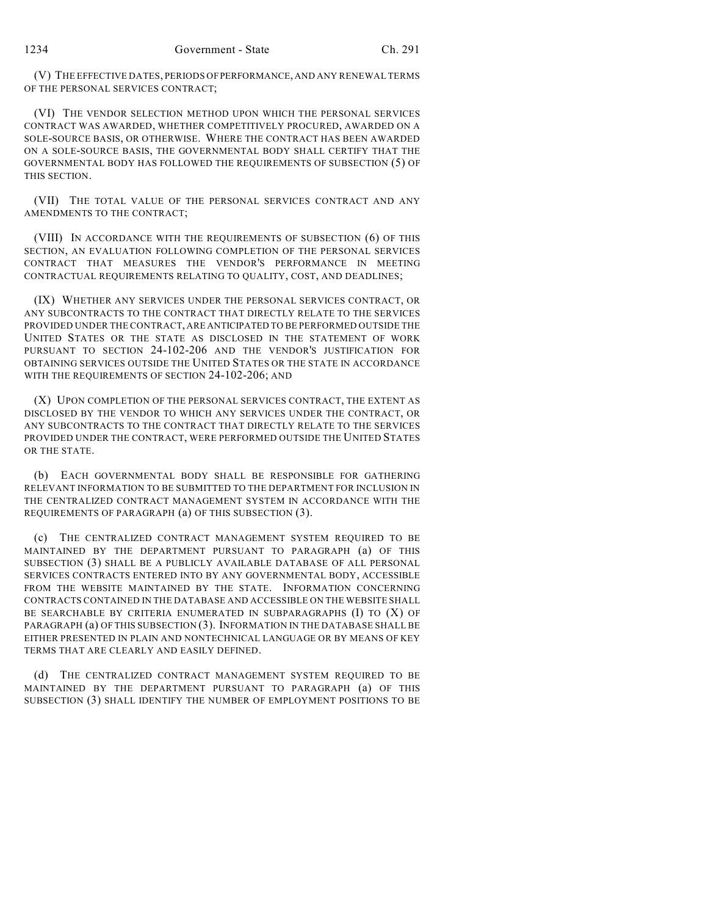(V) THE EFFECTIVE DATES, PERIODS OF PERFORMANCE, AND ANY RENEWAL TERMS OF THE PERSONAL SERVICES CONTRACT;

(VI) THE VENDOR SELECTION METHOD UPON WHICH THE PERSONAL SERVICES CONTRACT WAS AWARDED, WHETHER COMPETITIVELY PROCURED, AWARDED ON A SOLE-SOURCE BASIS, OR OTHERWISE. WHERE THE CONTRACT HAS BEEN AWARDED ON A SOLE-SOURCE BASIS, THE GOVERNMENTAL BODY SHALL CERTIFY THAT THE GOVERNMENTAL BODY HAS FOLLOWED THE REQUIREMENTS OF SUBSECTION (5) OF THIS SECTION.

(VII) THE TOTAL VALUE OF THE PERSONAL SERVICES CONTRACT AND ANY AMENDMENTS TO THE CONTRACT;

(VIII) IN ACCORDANCE WITH THE REQUIREMENTS OF SUBSECTION (6) OF THIS SECTION, AN EVALUATION FOLLOWING COMPLETION OF THE PERSONAL SERVICES CONTRACT THAT MEASURES THE VENDOR'S PERFORMANCE IN MEETING CONTRACTUAL REQUIREMENTS RELATING TO QUALITY, COST, AND DEADLINES;

(IX) WHETHER ANY SERVICES UNDER THE PERSONAL SERVICES CONTRACT, OR ANY SUBCONTRACTS TO THE CONTRACT THAT DIRECTLY RELATE TO THE SERVICES PROVIDED UNDER THE CONTRACT, ARE ANTICIPATED TO BE PERFORMED OUTSIDE THE UNITED STATES OR THE STATE AS DISCLOSED IN THE STATEMENT OF WORK PURSUANT TO SECTION 24-102-206 AND THE VENDOR'S JUSTIFICATION FOR OBTAINING SERVICES OUTSIDE THE UNITED STATES OR THE STATE IN ACCORDANCE WITH THE REQUIREMENTS OF SECTION 24-102-206; AND

(X) UPON COMPLETION OF THE PERSONAL SERVICES CONTRACT, THE EXTENT AS DISCLOSED BY THE VENDOR TO WHICH ANY SERVICES UNDER THE CONTRACT, OR ANY SUBCONTRACTS TO THE CONTRACT THAT DIRECTLY RELATE TO THE SERVICES PROVIDED UNDER THE CONTRACT, WERE PERFORMED OUTSIDE THE UNITED STATES OR THE STATE.

(b) EACH GOVERNMENTAL BODY SHALL BE RESPONSIBLE FOR GATHERING RELEVANT INFORMATION TO BE SUBMITTED TO THE DEPARTMENT FOR INCLUSION IN THE CENTRALIZED CONTRACT MANAGEMENT SYSTEM IN ACCORDANCE WITH THE REQUIREMENTS OF PARAGRAPH (a) OF THIS SUBSECTION (3).

(c) THE CENTRALIZED CONTRACT MANAGEMENT SYSTEM REQUIRED TO BE MAINTAINED BY THE DEPARTMENT PURSUANT TO PARAGRAPH (a) OF THIS SUBSECTION (3) SHALL BE A PUBLICLY AVAILABLE DATABASE OF ALL PERSONAL SERVICES CONTRACTS ENTERED INTO BY ANY GOVERNMENTAL BODY, ACCESSIBLE FROM THE WEBSITE MAINTAINED BY THE STATE. INFORMATION CONCERNING CONTRACTS CONTAINED IN THE DATABASE AND ACCESSIBLE ON THE WEBSITE SHALL BE SEARCHABLE BY CRITERIA ENUMERATED IN SUBPARAGRAPHS  $(I)$  TO  $(X)$  OF PARAGRAPH (a) OF THIS SUBSECTION (3). INFORMATION IN THE DATABASE SHALL BE EITHER PRESENTED IN PLAIN AND NONTECHNICAL LANGUAGE OR BY MEANS OF KEY TERMS THAT ARE CLEARLY AND EASILY DEFINED.

(d) THE CENTRALIZED CONTRACT MANAGEMENT SYSTEM REQUIRED TO BE MAINTAINED BY THE DEPARTMENT PURSUANT TO PARAGRAPH (a) OF THIS SUBSECTION (3) SHALL IDENTIFY THE NUMBER OF EMPLOYMENT POSITIONS TO BE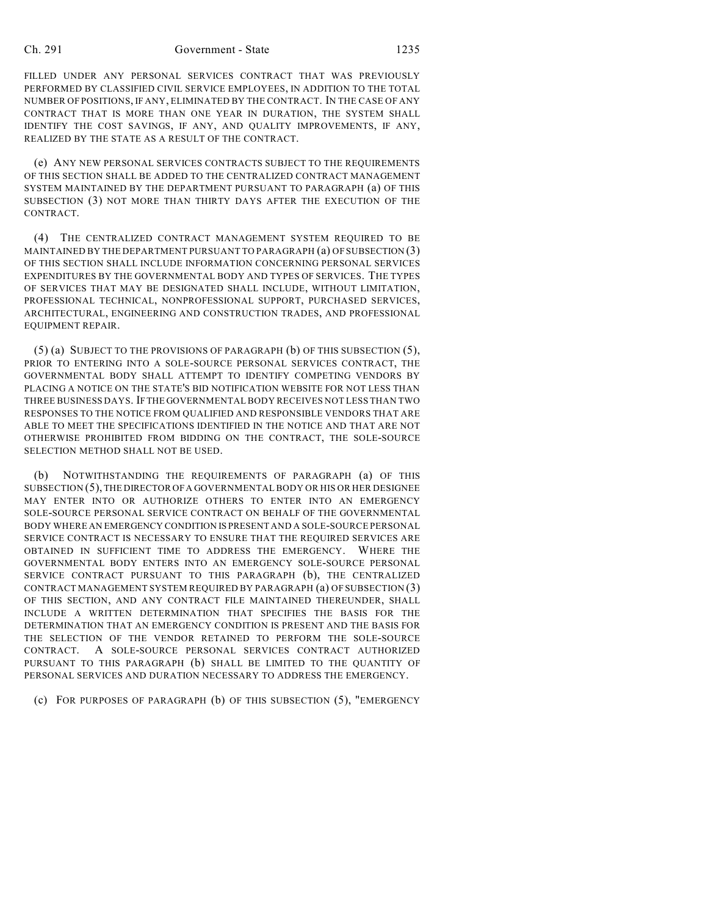FILLED UNDER ANY PERSONAL SERVICES CONTRACT THAT WAS PREVIOUSLY PERFORMED BY CLASSIFIED CIVIL SERVICE EMPLOYEES, IN ADDITION TO THE TOTAL NUMBER OF POSITIONS, IF ANY, ELIMINATED BY THE CONTRACT. IN THE CASE OF ANY CONTRACT THAT IS MORE THAN ONE YEAR IN DURATION, THE SYSTEM SHALL IDENTIFY THE COST SAVINGS, IF ANY, AND QUALITY IMPROVEMENTS, IF ANY, REALIZED BY THE STATE AS A RESULT OF THE CONTRACT.

(e) ANY NEW PERSONAL SERVICES CONTRACTS SUBJECT TO THE REQUIREMENTS OF THIS SECTION SHALL BE ADDED TO THE CENTRALIZED CONTRACT MANAGEMENT SYSTEM MAINTAINED BY THE DEPARTMENT PURSUANT TO PARAGRAPH (a) OF THIS SUBSECTION (3) NOT MORE THAN THIRTY DAYS AFTER THE EXECUTION OF THE CONTRACT.

(4) THE CENTRALIZED CONTRACT MANAGEMENT SYSTEM REQUIRED TO BE MAINTAINED BY THE DEPARTMENT PURSUANT TO PARAGRAPH (a) OF SUBSECTION (3) OF THIS SECTION SHALL INCLUDE INFORMATION CONCERNING PERSONAL SERVICES EXPENDITURES BY THE GOVERNMENTAL BODY AND TYPES OF SERVICES. THE TYPES OF SERVICES THAT MAY BE DESIGNATED SHALL INCLUDE, WITHOUT LIMITATION, PROFESSIONAL TECHNICAL, NONPROFESSIONAL SUPPORT, PURCHASED SERVICES, ARCHITECTURAL, ENGINEERING AND CONSTRUCTION TRADES, AND PROFESSIONAL EQUIPMENT REPAIR.

(5) (a) SUBJECT TO THE PROVISIONS OF PARAGRAPH (b) OF THIS SUBSECTION (5), PRIOR TO ENTERING INTO A SOLE-SOURCE PERSONAL SERVICES CONTRACT, THE GOVERNMENTAL BODY SHALL ATTEMPT TO IDENTIFY COMPETING VENDORS BY PLACING A NOTICE ON THE STATE'S BID NOTIFICATION WEBSITE FOR NOT LESS THAN THREE BUSINESS DAYS. IF THE GOVERNMENTAL BODY RECEIVES NOT LESS THAN TWO RESPONSES TO THE NOTICE FROM QUALIFIED AND RESPONSIBLE VENDORS THAT ARE ABLE TO MEET THE SPECIFICATIONS IDENTIFIED IN THE NOTICE AND THAT ARE NOT OTHERWISE PROHIBITED FROM BIDDING ON THE CONTRACT, THE SOLE-SOURCE SELECTION METHOD SHALL NOT BE USED.

(b) NOTWITHSTANDING THE REQUIREMENTS OF PARAGRAPH (a) OF THIS SUBSECTION (5), THE DIRECTOR OF A GOVERNMENTAL BODY OR HIS OR HER DESIGNEE MAY ENTER INTO OR AUTHORIZE OTHERS TO ENTER INTO AN EMERGENCY SOLE-SOURCE PERSONAL SERVICE CONTRACT ON BEHALF OF THE GOVERNMENTAL BODY WHERE AN EMERGENCY CONDITION IS PRESENT AND A SOLE-SOURCE PERSONAL SERVICE CONTRACT IS NECESSARY TO ENSURE THAT THE REQUIRED SERVICES ARE OBTAINED IN SUFFICIENT TIME TO ADDRESS THE EMERGENCY. WHERE THE GOVERNMENTAL BODY ENTERS INTO AN EMERGENCY SOLE-SOURCE PERSONAL SERVICE CONTRACT PURSUANT TO THIS PARAGRAPH (b), THE CENTRALIZED CONTRACT MANAGEMENT SYSTEM REQUIRED BY PARAGRAPH (a) OF SUBSECTION (3) OF THIS SECTION, AND ANY CONTRACT FILE MAINTAINED THEREUNDER, SHALL INCLUDE A WRITTEN DETERMINATION THAT SPECIFIES THE BASIS FOR THE DETERMINATION THAT AN EMERGENCY CONDITION IS PRESENT AND THE BASIS FOR THE SELECTION OF THE VENDOR RETAINED TO PERFORM THE SOLE-SOURCE CONTRACT. A SOLE-SOURCE PERSONAL SERVICES CONTRACT AUTHORIZED PURSUANT TO THIS PARAGRAPH (b) SHALL BE LIMITED TO THE QUANTITY OF PERSONAL SERVICES AND DURATION NECESSARY TO ADDRESS THE EMERGENCY.

(c) FOR PURPOSES OF PARAGRAPH (b) OF THIS SUBSECTION (5), "EMERGENCY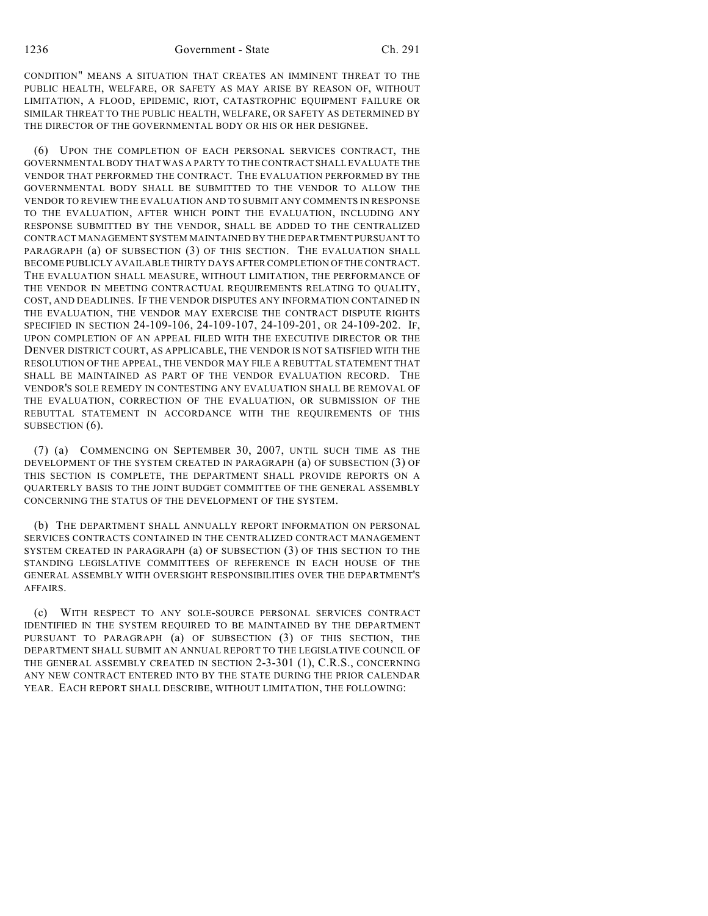CONDITION" MEANS A SITUATION THAT CREATES AN IMMINENT THREAT TO THE PUBLIC HEALTH, WELFARE, OR SAFETY AS MAY ARISE BY REASON OF, WITHOUT LIMITATION, A FLOOD, EPIDEMIC, RIOT, CATASTROPHIC EQUIPMENT FAILURE OR SIMILAR THREAT TO THE PUBLIC HEALTH, WELFARE, OR SAFETY AS DETERMINED BY THE DIRECTOR OF THE GOVERNMENTAL BODY OR HIS OR HER DESIGNEE.

(6) UPON THE COMPLETION OF EACH PERSONAL SERVICES CONTRACT, THE GOVERNMENTAL BODY THAT WAS A PARTY TO THE CONTRACT SHALL EVALUATE THE VENDOR THAT PERFORMED THE CONTRACT. THE EVALUATION PERFORMED BY THE GOVERNMENTAL BODY SHALL BE SUBMITTED TO THE VENDOR TO ALLOW THE VENDOR TO REVIEW THE EVALUATION AND TO SUBMIT ANY COMMENTS IN RESPONSE TO THE EVALUATION, AFTER WHICH POINT THE EVALUATION, INCLUDING ANY RESPONSE SUBMITTED BY THE VENDOR, SHALL BE ADDED TO THE CENTRALIZED CONTRACT MANAGEMENT SYSTEM MAINTAINED BY THE DEPARTMENT PURSUANT TO PARAGRAPH (a) OF SUBSECTION (3) OF THIS SECTION. THE EVALUATION SHALL BECOME PUBLICLY AVAILABLE THIRTY DAYS AFTER COMPLETION OF THE CONTRACT. THE EVALUATION SHALL MEASURE, WITHOUT LIMITATION, THE PERFORMANCE OF THE VENDOR IN MEETING CONTRACTUAL REQUIREMENTS RELATING TO QUALITY, COST, AND DEADLINES. IF THE VENDOR DISPUTES ANY INFORMATION CONTAINED IN THE EVALUATION, THE VENDOR MAY EXERCISE THE CONTRACT DISPUTE RIGHTS SPECIFIED IN SECTION 24-109-106, 24-109-107, 24-109-201, OR 24-109-202. IF, UPON COMPLETION OF AN APPEAL FILED WITH THE EXECUTIVE DIRECTOR OR THE DENVER DISTRICT COURT, AS APPLICABLE, THE VENDOR IS NOT SATISFIED WITH THE RESOLUTION OF THE APPEAL, THE VENDOR MAY FILE A REBUTTAL STATEMENT THAT SHALL BE MAINTAINED AS PART OF THE VENDOR EVALUATION RECORD. THE VENDOR'S SOLE REMEDY IN CONTESTING ANY EVALUATION SHALL BE REMOVAL OF THE EVALUATION, CORRECTION OF THE EVALUATION, OR SUBMISSION OF THE REBUTTAL STATEMENT IN ACCORDANCE WITH THE REQUIREMENTS OF THIS SUBSECTION  $(6)$ .

(7) (a) COMMENCING ON SEPTEMBER 30, 2007, UNTIL SUCH TIME AS THE DEVELOPMENT OF THE SYSTEM CREATED IN PARAGRAPH (a) OF SUBSECTION (3) OF THIS SECTION IS COMPLETE, THE DEPARTMENT SHALL PROVIDE REPORTS ON A QUARTERLY BASIS TO THE JOINT BUDGET COMMITTEE OF THE GENERAL ASSEMBLY CONCERNING THE STATUS OF THE DEVELOPMENT OF THE SYSTEM.

(b) THE DEPARTMENT SHALL ANNUALLY REPORT INFORMATION ON PERSONAL SERVICES CONTRACTS CONTAINED IN THE CENTRALIZED CONTRACT MANAGEMENT SYSTEM CREATED IN PARAGRAPH (a) OF SUBSECTION (3) OF THIS SECTION TO THE STANDING LEGISLATIVE COMMITTEES OF REFERENCE IN EACH HOUSE OF THE GENERAL ASSEMBLY WITH OVERSIGHT RESPONSIBILITIES OVER THE DEPARTMENT'S AFFAIRS.

(c) WITH RESPECT TO ANY SOLE-SOURCE PERSONAL SERVICES CONTRACT IDENTIFIED IN THE SYSTEM REQUIRED TO BE MAINTAINED BY THE DEPARTMENT PURSUANT TO PARAGRAPH (a) OF SUBSECTION (3) OF THIS SECTION, THE DEPARTMENT SHALL SUBMIT AN ANNUAL REPORT TO THE LEGISLATIVE COUNCIL OF THE GENERAL ASSEMBLY CREATED IN SECTION 2-3-301 (1), C.R.S., CONCERNING ANY NEW CONTRACT ENTERED INTO BY THE STATE DURING THE PRIOR CALENDAR YEAR. EACH REPORT SHALL DESCRIBE, WITHOUT LIMITATION, THE FOLLOWING: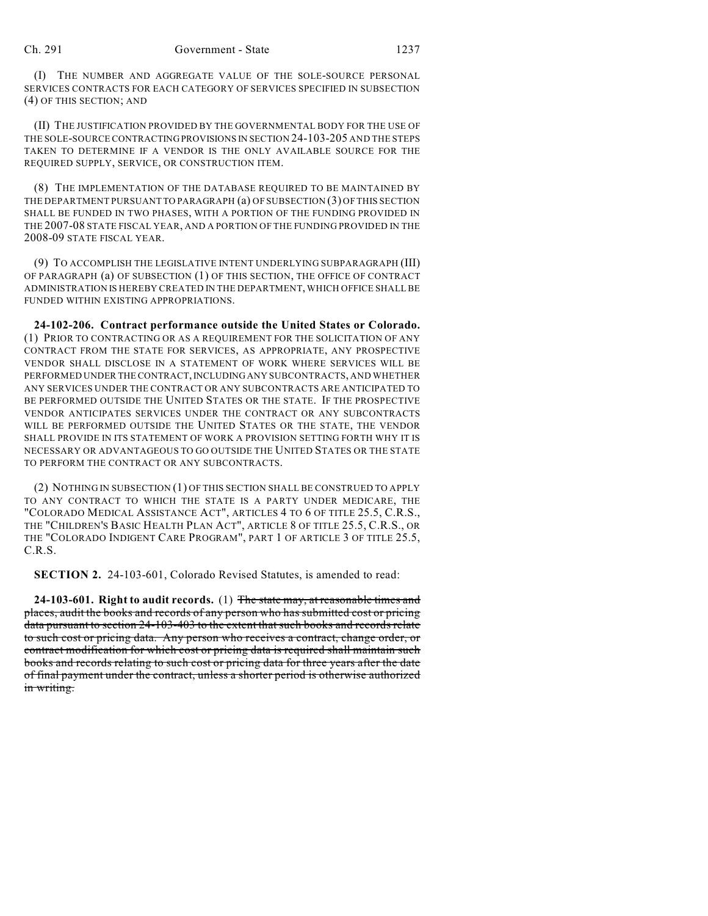(I) THE NUMBER AND AGGREGATE VALUE OF THE SOLE-SOURCE PERSONAL SERVICES CONTRACTS FOR EACH CATEGORY OF SERVICES SPECIFIED IN SUBSECTION (4) OF THIS SECTION; AND

(II) THE JUSTIFICATION PROVIDED BY THE GOVERNMENTAL BODY FOR THE USE OF THE SOLE-SOURCE CONTRACTING PROVISIONS IN SECTION 24-103-205 AND THE STEPS TAKEN TO DETERMINE IF A VENDOR IS THE ONLY AVAILABLE SOURCE FOR THE REQUIRED SUPPLY, SERVICE, OR CONSTRUCTION ITEM.

(8) THE IMPLEMENTATION OF THE DATABASE REQUIRED TO BE MAINTAINED BY THE DEPARTMENT PURSUANT TO PARAGRAPH (a) OF SUBSECTION (3) OF THIS SECTION SHALL BE FUNDED IN TWO PHASES, WITH A PORTION OF THE FUNDING PROVIDED IN THE 2007-08 STATE FISCAL YEAR, AND A PORTION OF THE FUNDING PROVIDED IN THE 2008-09 STATE FISCAL YEAR.

(9) TO ACCOMPLISH THE LEGISLATIVE INTENT UNDERLYING SUBPARAGRAPH (III) OF PARAGRAPH (a) OF SUBSECTION (1) OF THIS SECTION, THE OFFICE OF CONTRACT ADMINISTRATION IS HEREBY CREATED IN THE DEPARTMENT, WHICH OFFICE SHALL BE FUNDED WITHIN EXISTING APPROPRIATIONS.

**24-102-206. Contract performance outside the United States or Colorado.** (1) PRIOR TO CONTRACTING OR AS A REQUIREMENT FOR THE SOLICITATION OF ANY CONTRACT FROM THE STATE FOR SERVICES, AS APPROPRIATE, ANY PROSPECTIVE VENDOR SHALL DISCLOSE IN A STATEMENT OF WORK WHERE SERVICES WILL BE PERFORMED UNDER THE CONTRACT, INCLUDING ANY SUBCONTRACTS, AND WHETHER ANY SERVICES UNDER THE CONTRACT OR ANY SUBCONTRACTS ARE ANTICIPATED TO BE PERFORMED OUTSIDE THE UNITED STATES OR THE STATE. IF THE PROSPECTIVE VENDOR ANTICIPATES SERVICES UNDER THE CONTRACT OR ANY SUBCONTRACTS WILL BE PERFORMED OUTSIDE THE UNITED STATES OR THE STATE, THE VENDOR SHALL PROVIDE IN ITS STATEMENT OF WORK A PROVISION SETTING FORTH WHY IT IS NECESSARY OR ADVANTAGEOUS TO GO OUTSIDE THE UNITED STATES OR THE STATE TO PERFORM THE CONTRACT OR ANY SUBCONTRACTS.

(2) NOTHING IN SUBSECTION (1) OF THIS SECTION SHALL BE CONSTRUED TO APPLY TO ANY CONTRACT TO WHICH THE STATE IS A PARTY UNDER MEDICARE, THE "COLORADO MEDICAL ASSISTANCE ACT", ARTICLES 4 TO 6 OF TITLE 25.5, C.R.S., THE "CHILDREN'S BASIC HEALTH PLAN ACT", ARTICLE 8 OF TITLE 25.5, C.R.S., OR THE "COLORADO INDIGENT CARE PROGRAM", PART 1 OF ARTICLE 3 OF TITLE 25.5, C.R.S.

**SECTION 2.** 24-103-601, Colorado Revised Statutes, is amended to read:

**24-103-601. Right to audit records.** (1) The state may, at reasonable times and places, audit the books and records of any person who has submitted cost or pricing data pursuant to section 24-103-403 to the extent that such books and records relate to such cost or pricing data. Any person who receives a contract, change order, or contract modification for which cost or pricing data is required shall maintain such books and records relating to such cost or pricing data for three years after the date of final payment under the contract, unless a shorter period is otherwise authorized in writing.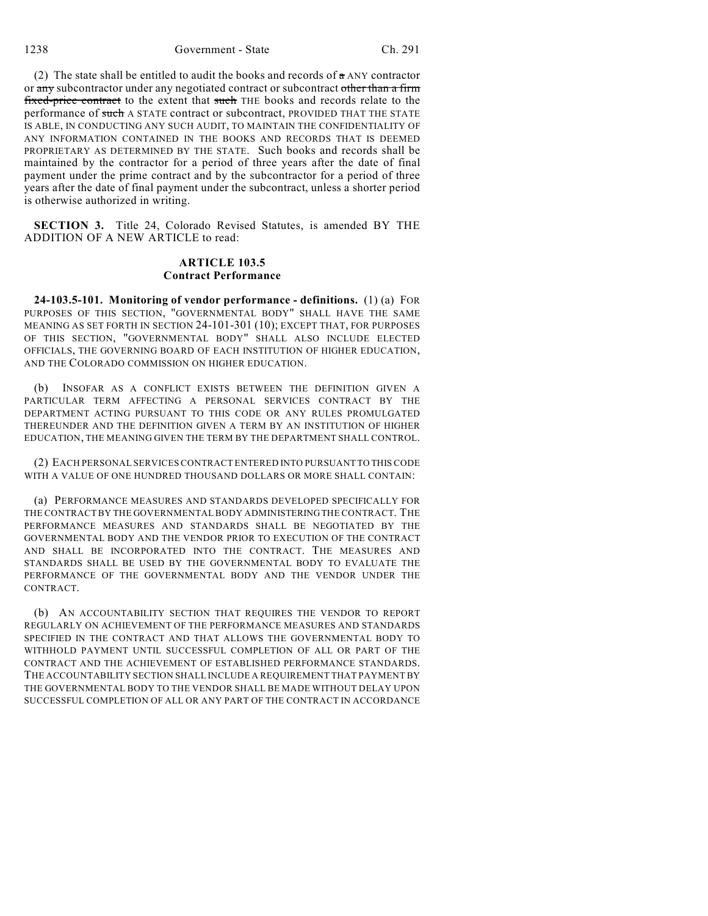1238 Government - State Ch. 291

(2) The state shall be entitled to audit the books and records of  $\alpha$  ANY contractor or any subcontractor under any negotiated contract or subcontract other than a firm fixed-price contract to the extent that such THE books and records relate to the performance of such A STATE contract or subcontract, PROVIDED THAT THE STATE IS ABLE, IN CONDUCTING ANY SUCH AUDIT, TO MAINTAIN THE CONFIDENTIALITY OF ANY INFORMATION CONTAINED IN THE BOOKS AND RECORDS THAT IS DEEMED PROPRIETARY AS DETERMINED BY THE STATE. Such books and records shall be maintained by the contractor for a period of three years after the date of final payment under the prime contract and by the subcontractor for a period of three years after the date of final payment under the subcontract, unless a shorter period is otherwise authorized in writing.

**SECTION 3.** Title 24, Colorado Revised Statutes, is amended BY THE ADDITION OF A NEW ARTICLE to read:

## **ARTICLE 103.5 Contract Performance**

**24-103.5-101. Monitoring of vendor performance - definitions.** (1) (a) FOR PURPOSES OF THIS SECTION, "GOVERNMENTAL BODY" SHALL HAVE THE SAME MEANING AS SET FORTH IN SECTION 24-101-301 (10); EXCEPT THAT, FOR PURPOSES OF THIS SECTION, "GOVERNMENTAL BODY" SHALL ALSO INCLUDE ELECTED OFFICIALS, THE GOVERNING BOARD OF EACH INSTITUTION OF HIGHER EDUCATION, AND THE COLORADO COMMISSION ON HIGHER EDUCATION.

(b) INSOFAR AS A CONFLICT EXISTS BETWEEN THE DEFINITION GIVEN A PARTICULAR TERM AFFECTING A PERSONAL SERVICES CONTRACT BY THE DEPARTMENT ACTING PURSUANT TO THIS CODE OR ANY RULES PROMULGATED THEREUNDER AND THE DEFINITION GIVEN A TERM BY AN INSTITUTION OF HIGHER EDUCATION, THE MEANING GIVEN THE TERM BY THE DEPARTMENT SHALL CONTROL.

(2) EACH PERSONAL SERVICES CONTRACT ENTERED INTO PURSUANT TO THIS CODE WITH A VALUE OF ONE HUNDRED THOUSAND DOLLARS OR MORE SHALL CONTAIN:

(a) PERFORMANCE MEASURES AND STANDARDS DEVELOPED SPECIFICALLY FOR THE CONTRACT BY THE GOVERNMENTAL BODY ADMINISTERING THE CONTRACT. THE PERFORMANCE MEASURES AND STANDARDS SHALL BE NEGOTIATED BY THE GOVERNMENTAL BODY AND THE VENDOR PRIOR TO EXECUTION OF THE CONTRACT AND SHALL BE INCORPORATED INTO THE CONTRACT. THE MEASURES AND STANDARDS SHALL BE USED BY THE GOVERNMENTAL BODY TO EVALUATE THE PERFORMANCE OF THE GOVERNMENTAL BODY AND THE VENDOR UNDER THE CONTRACT.

(b) AN ACCOUNTABILITY SECTION THAT REQUIRES THE VENDOR TO REPORT REGULARLY ON ACHIEVEMENT OF THE PERFORMANCE MEASURES AND STANDARDS SPECIFIED IN THE CONTRACT AND THAT ALLOWS THE GOVERNMENTAL BODY TO WITHHOLD PAYMENT UNTIL SUCCESSFUL COMPLETION OF ALL OR PART OF THE CONTRACT AND THE ACHIEVEMENT OF ESTABLISHED PERFORMANCE STANDARDS. THE ACCOUNTABILITY SECTION SHALL INCLUDE A REQUIREMENT THAT PAYMENT BY THE GOVERNMENTAL BODY TO THE VENDOR SHALL BE MADE WITHOUT DELAY UPON SUCCESSFUL COMPLETION OF ALL OR ANY PART OF THE CONTRACT IN ACCORDANCE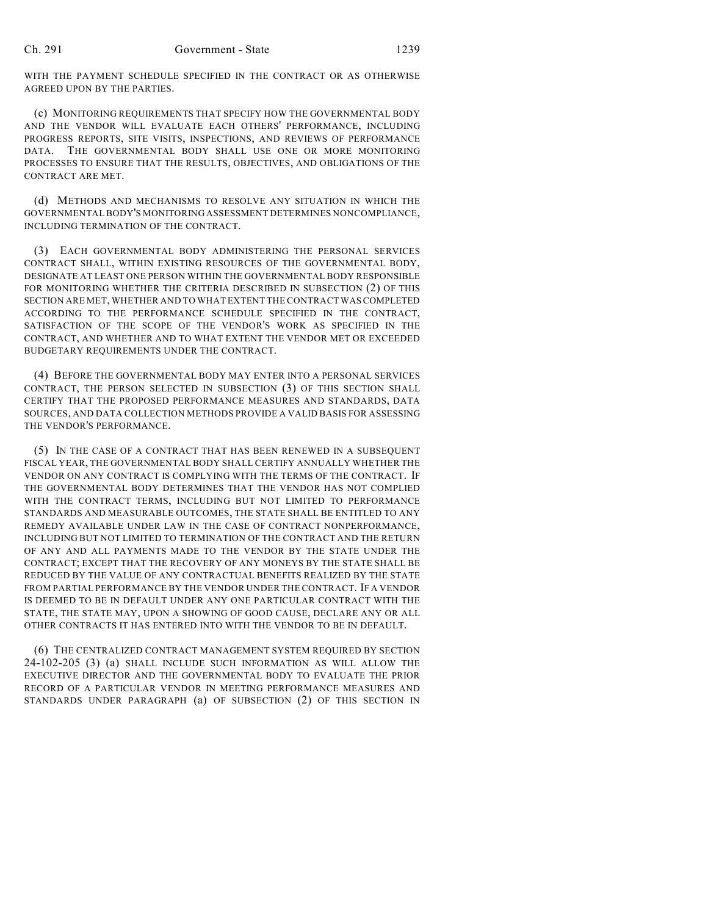WITH THE PAYMENT SCHEDULE SPECIFIED IN THE CONTRACT OR AS OTHERWISE AGREED UPON BY THE PARTIES.

(c) MONITORING REQUIREMENTS THAT SPECIFY HOW THE GOVERNMENTAL BODY AND THE VENDOR WILL EVALUATE EACH OTHERS' PERFORMANCE, INCLUDING PROGRESS REPORTS, SITE VISITS, INSPECTIONS, AND REVIEWS OF PERFORMANCE DATA. THE GOVERNMENTAL BODY SHALL USE ONE OR MORE MONITORING PROCESSES TO ENSURE THAT THE RESULTS, OBJECTIVES, AND OBLIGATIONS OF THE CONTRACT ARE MET.

(d) METHODS AND MECHANISMS TO RESOLVE ANY SITUATION IN WHICH THE GOVERNMENTAL BODY'S MONITORING ASSESSMENT DETERMINES NONCOMPLIANCE, INCLUDING TERMINATION OF THE CONTRACT.

(3) EACH GOVERNMENTAL BODY ADMINISTERING THE PERSONAL SERVICES CONTRACT SHALL, WITHIN EXISTING RESOURCES OF THE GOVERNMENTAL BODY, DESIGNATE AT LEAST ONE PERSON WITHIN THE GOVERNMENTAL BODY RESPONSIBLE FOR MONITORING WHETHER THE CRITERIA DESCRIBED IN SUBSECTION (2) OF THIS SECTION ARE MET, WHETHER AND TO WHAT EXTENT THE CONTRACT WAS COMPLETED ACCORDING TO THE PERFORMANCE SCHEDULE SPECIFIED IN THE CONTRACT, SATISFACTION OF THE SCOPE OF THE VENDOR'S WORK AS SPECIFIED IN THE CONTRACT, AND WHETHER AND TO WHAT EXTENT THE VENDOR MET OR EXCEEDED BUDGETARY REQUIREMENTS UNDER THE CONTRACT.

(4) BEFORE THE GOVERNMENTAL BODY MAY ENTER INTO A PERSONAL SERVICES CONTRACT, THE PERSON SELECTED IN SUBSECTION (3) OF THIS SECTION SHALL CERTIFY THAT THE PROPOSED PERFORMANCE MEASURES AND STANDARDS, DATA SOURCES, AND DATA COLLECTION METHODS PROVIDE A VALID BASIS FOR ASSESSING THE VENDOR'S PERFORMANCE.

(5) IN THE CASE OF A CONTRACT THAT HAS BEEN RENEWED IN A SUBSEQUENT FISCAL YEAR, THE GOVERNMENTAL BODY SHALL CERTIFY ANNUALLY WHETHER THE VENDOR ON ANY CONTRACT IS COMPLYING WITH THE TERMS OF THE CONTRACT. IF THE GOVERNMENTAL BODY DETERMINES THAT THE VENDOR HAS NOT COMPLIED WITH THE CONTRACT TERMS, INCLUDING BUT NOT LIMITED TO PERFORMANCE STANDARDS AND MEASURABLE OUTCOMES, THE STATE SHALL BE ENTITLED TO ANY REMEDY AVAILABLE UNDER LAW IN THE CASE OF CONTRACT NONPERFORMANCE, INCLUDING BUT NOT LIMITED TO TERMINATION OF THE CONTRACT AND THE RETURN OF ANY AND ALL PAYMENTS MADE TO THE VENDOR BY THE STATE UNDER THE CONTRACT; EXCEPT THAT THE RECOVERY OF ANY MONEYS BY THE STATE SHALL BE REDUCED BY THE VALUE OF ANY CONTRACTUAL BENEFITS REALIZED BY THE STATE FROM PARTIAL PERFORMANCE BY THE VENDOR UNDER THE CONTRACT. IF A VENDOR IS DEEMED TO BE IN DEFAULT UNDER ANY ONE PARTICULAR CONTRACT WITH THE STATE, THE STATE MAY, UPON A SHOWING OF GOOD CAUSE, DECLARE ANY OR ALL OTHER CONTRACTS IT HAS ENTERED INTO WITH THE VENDOR TO BE IN DEFAULT.

(6) THE CENTRALIZED CONTRACT MANAGEMENT SYSTEM REQUIRED BY SECTION 24-102-205 (3) (a) SHALL INCLUDE SUCH INFORMATION AS WILL ALLOW THE EXECUTIVE DIRECTOR AND THE GOVERNMENTAL BODY TO EVALUATE THE PRIOR RECORD OF A PARTICULAR VENDOR IN MEETING PERFORMANCE MEASURES AND STANDARDS UNDER PARAGRAPH (a) OF SUBSECTION (2) OF THIS SECTION IN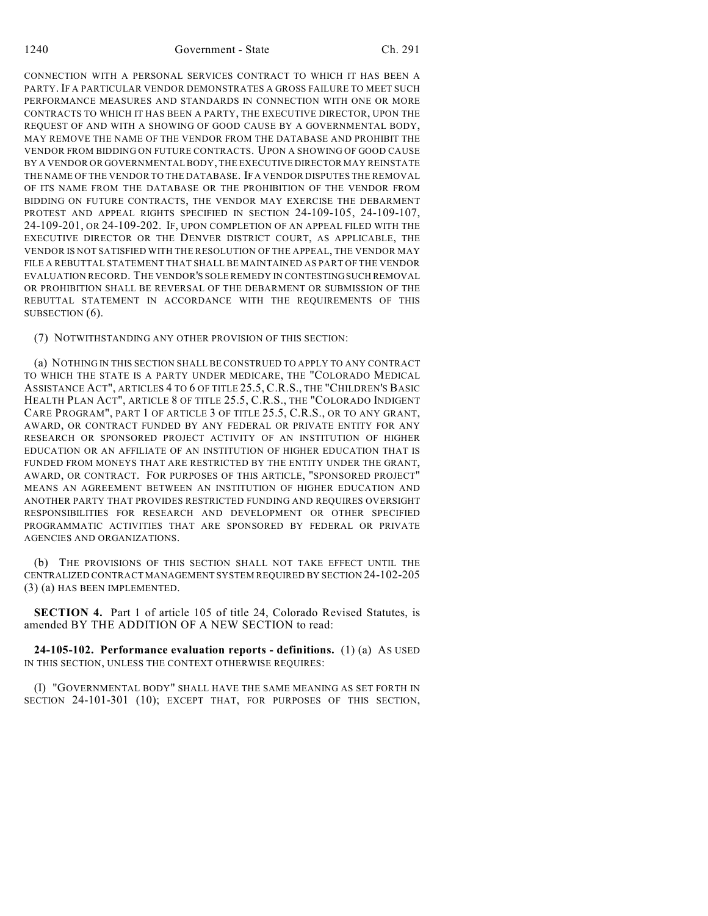CONNECTION WITH A PERSONAL SERVICES CONTRACT TO WHICH IT HAS BEEN A PARTY. IF A PARTICULAR VENDOR DEMONSTRATES A GROSS FAILURE TO MEET SUCH PERFORMANCE MEASURES AND STANDARDS IN CONNECTION WITH ONE OR MORE CONTRACTS TO WHICH IT HAS BEEN A PARTY, THE EXECUTIVE DIRECTOR, UPON THE REQUEST OF AND WITH A SHOWING OF GOOD CAUSE BY A GOVERNMENTAL BODY, MAY REMOVE THE NAME OF THE VENDOR FROM THE DATABASE AND PROHIBIT THE VENDOR FROM BIDDING ON FUTURE CONTRACTS. UPON A SHOWING OF GOOD CAUSE BY A VENDOR OR GOVERNMENTAL BODY, THE EXECUTIVE DIRECTOR MAY REINSTATE THE NAME OF THE VENDOR TO THE DATABASE. IF A VENDOR DISPUTES THE REMOVAL OF ITS NAME FROM THE DATABASE OR THE PROHIBITION OF THE VENDOR FROM BIDDING ON FUTURE CONTRACTS, THE VENDOR MAY EXERCISE THE DEBARMENT PROTEST AND APPEAL RIGHTS SPECIFIED IN SECTION 24-109-105, 24-109-107, 24-109-201, OR 24-109-202. IF, UPON COMPLETION OF AN APPEAL FILED WITH THE EXECUTIVE DIRECTOR OR THE DENVER DISTRICT COURT, AS APPLICABLE, THE VENDOR IS NOT SATISFIED WITH THE RESOLUTION OF THE APPEAL, THE VENDOR MAY FILE A REBUTTAL STATEMENT THAT SHALL BE MAINTAINED AS PART OF THE VENDOR EVALUATION RECORD. THE VENDOR'S SOLE REMEDY IN CONTESTING SUCH REMOVAL OR PROHIBITION SHALL BE REVERSAL OF THE DEBARMENT OR SUBMISSION OF THE REBUTTAL STATEMENT IN ACCORDANCE WITH THE REQUIREMENTS OF THIS SUBSECTION  $(6)$ .

## (7) NOTWITHSTANDING ANY OTHER PROVISION OF THIS SECTION:

(a) NOTHING IN THIS SECTION SHALL BE CONSTRUED TO APPLY TO ANY CONTRACT TO WHICH THE STATE IS A PARTY UNDER MEDICARE, THE "COLORADO MEDICAL ASSISTANCE ACT", ARTICLES 4 TO 6 OF TITLE 25.5, C.R.S., THE "CHILDREN'S BASIC HEALTH PLAN ACT", ARTICLE 8 OF TITLE 25.5, C.R.S., THE "COLORADO INDIGENT CARE PROGRAM", PART 1 OF ARTICLE 3 OF TITLE 25.5, C.R.S., OR TO ANY GRANT, AWARD, OR CONTRACT FUNDED BY ANY FEDERAL OR PRIVATE ENTITY FOR ANY RESEARCH OR SPONSORED PROJECT ACTIVITY OF AN INSTITUTION OF HIGHER EDUCATION OR AN AFFILIATE OF AN INSTITUTION OF HIGHER EDUCATION THAT IS FUNDED FROM MONEYS THAT ARE RESTRICTED BY THE ENTITY UNDER THE GRANT, AWARD, OR CONTRACT. FOR PURPOSES OF THIS ARTICLE, "SPONSORED PROJECT" MEANS AN AGREEMENT BETWEEN AN INSTITUTION OF HIGHER EDUCATION AND ANOTHER PARTY THAT PROVIDES RESTRICTED FUNDING AND REQUIRES OVERSIGHT RESPONSIBILITIES FOR RESEARCH AND DEVELOPMENT OR OTHER SPECIFIED PROGRAMMATIC ACTIVITIES THAT ARE SPONSORED BY FEDERAL OR PRIVATE AGENCIES AND ORGANIZATIONS.

(b) THE PROVISIONS OF THIS SECTION SHALL NOT TAKE EFFECT UNTIL THE CENTRALIZED CONTRACT MANAGEMENT SYSTEM REQUIRED BY SECTION 24-102-205 (3) (a) HAS BEEN IMPLEMENTED.

**SECTION 4.** Part 1 of article 105 of title 24, Colorado Revised Statutes, is amended BY THE ADDITION OF A NEW SECTION to read:

**24-105-102. Performance evaluation reports - definitions.** (1) (a) AS USED IN THIS SECTION, UNLESS THE CONTEXT OTHERWISE REQUIRES:

(I) "GOVERNMENTAL BODY" SHALL HAVE THE SAME MEANING AS SET FORTH IN SECTION 24-101-301 (10); EXCEPT THAT, FOR PURPOSES OF THIS SECTION,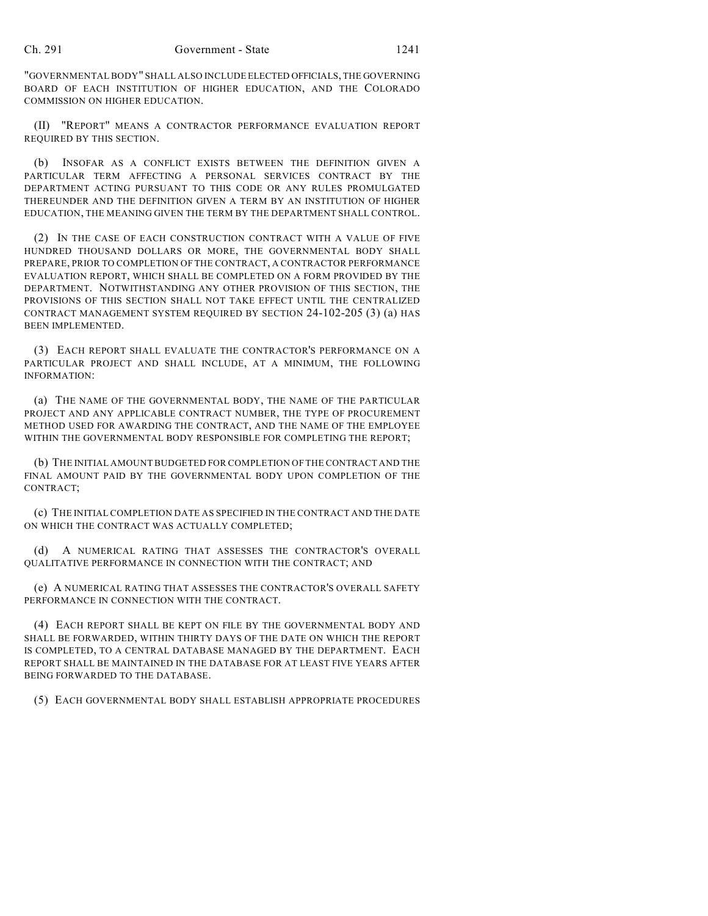"GOVERNMENTAL BODY" SHALL ALSO INCLUDE ELECTED OFFICIALS, THE GOVERNING BOARD OF EACH INSTITUTION OF HIGHER EDUCATION, AND THE COLORADO COMMISSION ON HIGHER EDUCATION.

(II) "REPORT" MEANS A CONTRACTOR PERFORMANCE EVALUATION REPORT REQUIRED BY THIS SECTION.

(b) INSOFAR AS A CONFLICT EXISTS BETWEEN THE DEFINITION GIVEN A PARTICULAR TERM AFFECTING A PERSONAL SERVICES CONTRACT BY THE DEPARTMENT ACTING PURSUANT TO THIS CODE OR ANY RULES PROMULGATED THEREUNDER AND THE DEFINITION GIVEN A TERM BY AN INSTITUTION OF HIGHER EDUCATION, THE MEANING GIVEN THE TERM BY THE DEPARTMENT SHALL CONTROL.

(2) IN THE CASE OF EACH CONSTRUCTION CONTRACT WITH A VALUE OF FIVE HUNDRED THOUSAND DOLLARS OR MORE, THE GOVERNMENTAL BODY SHALL PREPARE, PRIOR TO COMPLETION OF THE CONTRACT, A CONTRACTOR PERFORMANCE EVALUATION REPORT, WHICH SHALL BE COMPLETED ON A FORM PROVIDED BY THE DEPARTMENT. NOTWITHSTANDING ANY OTHER PROVISION OF THIS SECTION, THE PROVISIONS OF THIS SECTION SHALL NOT TAKE EFFECT UNTIL THE CENTRALIZED CONTRACT MANAGEMENT SYSTEM REQUIRED BY SECTION 24-102-205 (3) (a) HAS BEEN IMPLEMENTED.

(3) EACH REPORT SHALL EVALUATE THE CONTRACTOR'S PERFORMANCE ON A PARTICULAR PROJECT AND SHALL INCLUDE, AT A MINIMUM, THE FOLLOWING INFORMATION:

(a) THE NAME OF THE GOVERNMENTAL BODY, THE NAME OF THE PARTICULAR PROJECT AND ANY APPLICABLE CONTRACT NUMBER, THE TYPE OF PROCUREMENT METHOD USED FOR AWARDING THE CONTRACT, AND THE NAME OF THE EMPLOYEE WITHIN THE GOVERNMENTAL BODY RESPONSIBLE FOR COMPLETING THE REPORT;

(b) THE INITIAL AMOUNT BUDGETED FOR COMPLETION OF THE CONTRACT AND THE FINAL AMOUNT PAID BY THE GOVERNMENTAL BODY UPON COMPLETION OF THE CONTRACT;

(c) THE INITIAL COMPLETION DATE AS SPECIFIED IN THE CONTRACT AND THE DATE ON WHICH THE CONTRACT WAS ACTUALLY COMPLETED;

(d) A NUMERICAL RATING THAT ASSESSES THE CONTRACTOR'S OVERALL QUALITATIVE PERFORMANCE IN CONNECTION WITH THE CONTRACT; AND

(e) A NUMERICAL RATING THAT ASSESSES THE CONTRACTOR'S OVERALL SAFETY PERFORMANCE IN CONNECTION WITH THE CONTRACT.

(4) EACH REPORT SHALL BE KEPT ON FILE BY THE GOVERNMENTAL BODY AND SHALL BE FORWARDED, WITHIN THIRTY DAYS OF THE DATE ON WHICH THE REPORT IS COMPLETED, TO A CENTRAL DATABASE MANAGED BY THE DEPARTMENT. EACH REPORT SHALL BE MAINTAINED IN THE DATABASE FOR AT LEAST FIVE YEARS AFTER BEING FORWARDED TO THE DATABASE.

(5) EACH GOVERNMENTAL BODY SHALL ESTABLISH APPROPRIATE PROCEDURES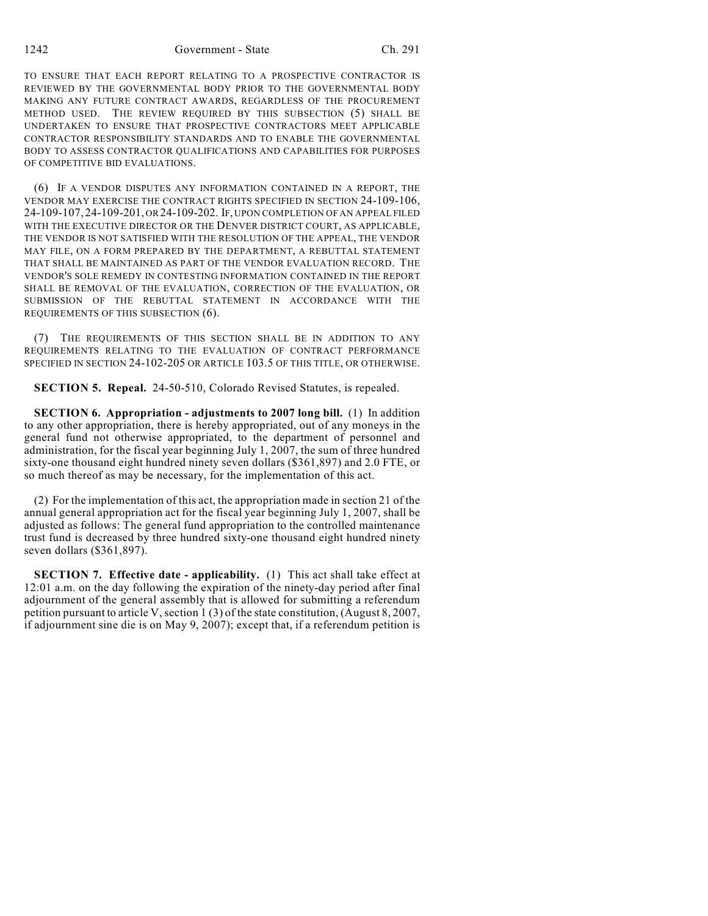TO ENSURE THAT EACH REPORT RELATING TO A PROSPECTIVE CONTRACTOR IS REVIEWED BY THE GOVERNMENTAL BODY PRIOR TO THE GOVERNMENTAL BODY MAKING ANY FUTURE CONTRACT AWARDS, REGARDLESS OF THE PROCUREMENT METHOD USED. THE REVIEW REQUIRED BY THIS SUBSECTION (5) SHALL BE UNDERTAKEN TO ENSURE THAT PROSPECTIVE CONTRACTORS MEET APPLICABLE CONTRACTOR RESPONSIBILITY STANDARDS AND TO ENABLE THE GOVERNMENTAL BODY TO ASSESS CONTRACTOR QUALIFICATIONS AND CAPABILITIES FOR PURPOSES OF COMPETITIVE BID EVALUATIONS.

(6) IF A VENDOR DISPUTES ANY INFORMATION CONTAINED IN A REPORT, THE VENDOR MAY EXERCISE THE CONTRACT RIGHTS SPECIFIED IN SECTION 24-109-106, 24-109-107, 24-109-201, OR 24-109-202. IF, UPON COMPLETION OF AN APPEAL FILED WITH THE EXECUTIVE DIRECTOR OR THE DENVER DISTRICT COURT, AS APPLICABLE, THE VENDOR IS NOT SATISFIED WITH THE RESOLUTION OF THE APPEAL, THE VENDOR MAY FILE, ON A FORM PREPARED BY THE DEPARTMENT, A REBUTTAL STATEMENT THAT SHALL BE MAINTAINED AS PART OF THE VENDOR EVALUATION RECORD. THE VENDOR'S SOLE REMEDY IN CONTESTING INFORMATION CONTAINED IN THE REPORT SHALL BE REMOVAL OF THE EVALUATION, CORRECTION OF THE EVALUATION, OR SUBMISSION OF THE REBUTTAL STATEMENT IN ACCORDANCE WITH THE REQUIREMENTS OF THIS SUBSECTION (6).

(7) THE REQUIREMENTS OF THIS SECTION SHALL BE IN ADDITION TO ANY REQUIREMENTS RELATING TO THE EVALUATION OF CONTRACT PERFORMANCE SPECIFIED IN SECTION 24-102-205 OR ARTICLE 103.5 OF THIS TITLE, OR OTHERWISE.

**SECTION 5. Repeal.** 24-50-510, Colorado Revised Statutes, is repealed.

**SECTION 6. Appropriation - adjustments to 2007 long bill.** (1) In addition to any other appropriation, there is hereby appropriated, out of any moneys in the general fund not otherwise appropriated, to the department of personnel and administration, for the fiscal year beginning July 1, 2007, the sum of three hundred sixty-one thousand eight hundred ninety seven dollars (\$361,897) and 2.0 FTE, or so much thereof as may be necessary, for the implementation of this act.

(2) For the implementation of this act, the appropriation made in section 21 of the annual general appropriation act for the fiscal year beginning July 1, 2007, shall be adjusted as follows: The general fund appropriation to the controlled maintenance trust fund is decreased by three hundred sixty-one thousand eight hundred ninety seven dollars (\$361,897).

**SECTION 7. Effective date - applicability.** (1) This act shall take effect at 12:01 a.m. on the day following the expiration of the ninety-day period after final adjournment of the general assembly that is allowed for submitting a referendum petition pursuant to article V, section 1 (3) of the state constitution, (August 8, 2007, if adjournment sine die is on May 9, 2007); except that, if a referendum petition is